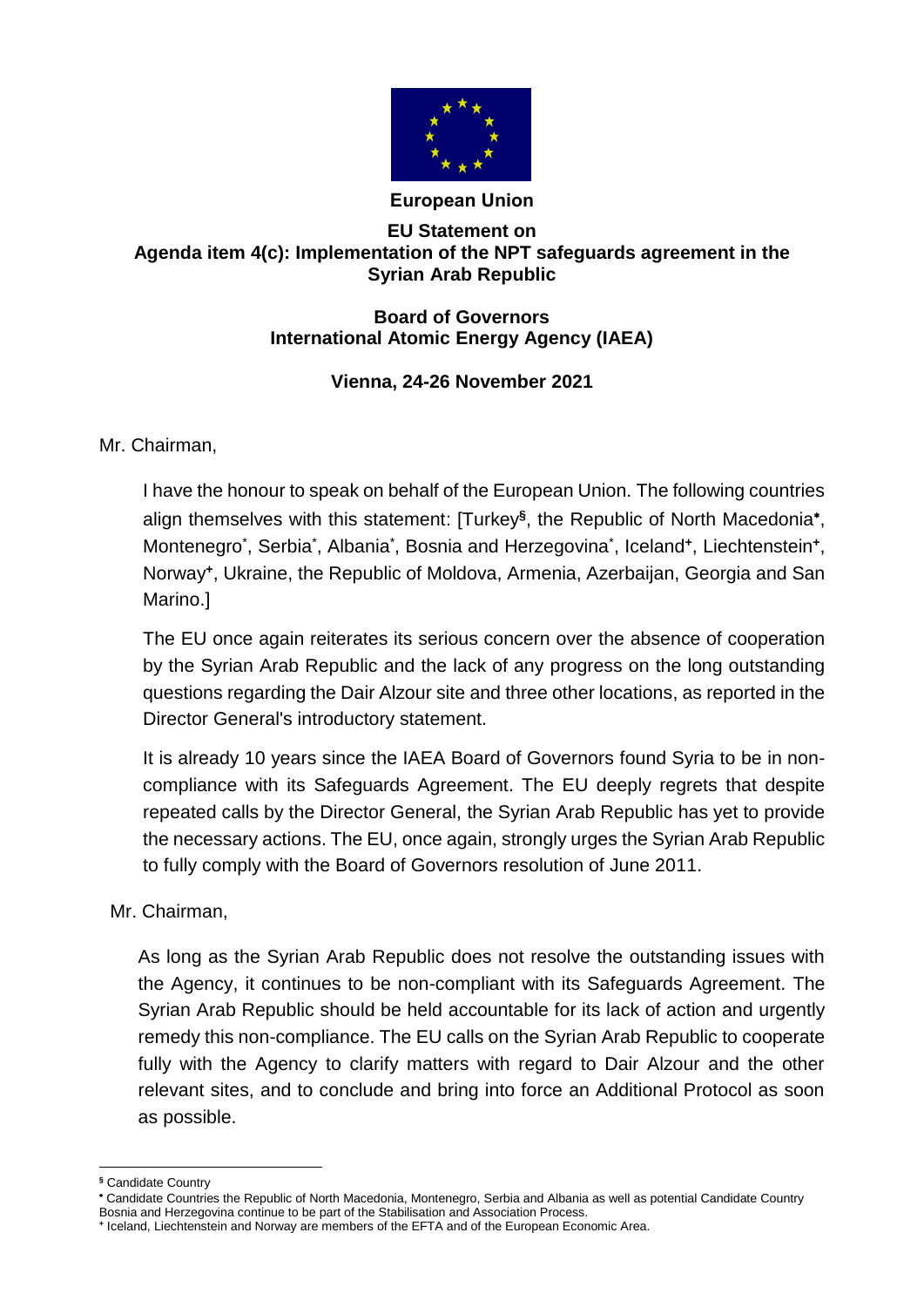

## **European Union**

## **EU Statement on Agenda item 4(c): Implementation of the NPT safeguards agreement in the Syrian Arab Republic**

## **Board of Governors International Atomic Energy Agency (IAEA)**

## **Vienna, 24-26 November 2021**

Mr. Chairman,

I have the honour to speak on behalf of the European Union. The following countries align themselves with this statement: [Turkey**§** , the Republic of North Macedonia , Montenegro<sup>\*</sup>, Serbia<sup>\*</sup>, Albania<sup>\*</sup>, Bosnia and Herzegovina<sup>\*</sup>, Iceland<sup>+</sup>, Liechtenstein<sup>+</sup>, Norway**<sup>+</sup>** , Ukraine, the Republic of Moldova, Armenia, Azerbaijan, Georgia and San Marino.]

The EU once again reiterates its serious concern over the absence of cooperation by the Syrian Arab Republic and the lack of any progress on the long outstanding questions regarding the Dair Alzour site and three other locations, as reported in the Director General's introductory statement.

It is already 10 years since the IAEA Board of Governors found Syria to be in noncompliance with its Safeguards Agreement. The EU deeply regrets that despite repeated calls by the Director General, the Syrian Arab Republic has yet to provide the necessary actions. The EU, once again, strongly urges the Syrian Arab Republic to fully comply with the Board of Governors resolution of June 2011.

Mr. Chairman,

As long as the Syrian Arab Republic does not resolve the outstanding issues with the Agency, it continues to be non-compliant with its Safeguards Agreement. The Syrian Arab Republic should be held accountable for its lack of action and urgently remedy this non-compliance. The EU calls on the Syrian Arab Republic to cooperate fully with the Agency to clarify matters with regard to Dair Alzour and the other relevant sites, and to conclude and bring into force an Additional Protocol as soon as possible.

 $\overline{a}$ **§** Candidate Country

Candidate Countries the Republic of North Macedonia, Montenegro, Serbia and Albania as well as potential Candidate Country Bosnia and Herzegovina continue to be part of the Stabilisation and Association Process.

**<sup>+</sup>** Iceland, Liechtenstein and Norway are members of the EFTA and of the European Economic Area.